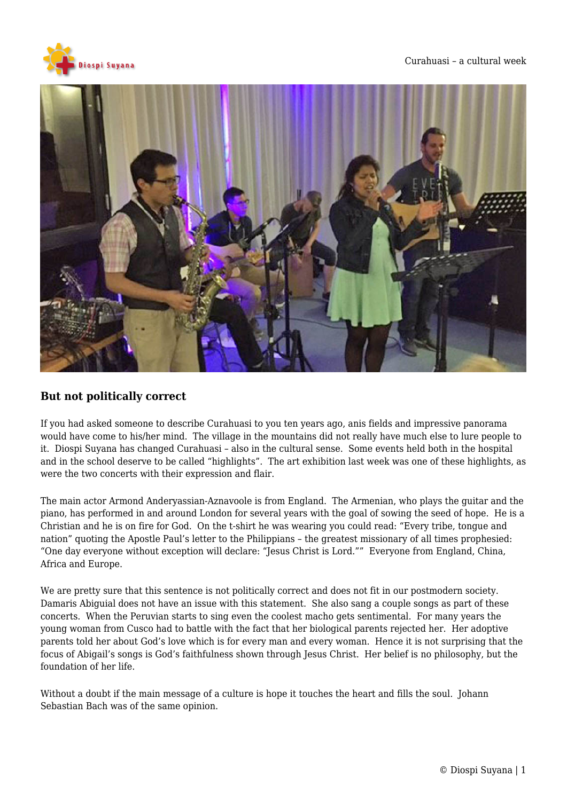



## **But not politically correct**

If you had asked someone to describe Curahuasi to you ten years ago, anis fields and impressive panorama would have come to his/her mind. The village in the mountains did not really have much else to lure people to it. Diospi Suyana has changed Curahuasi – also in the cultural sense. Some events held both in the hospital and in the school deserve to be called "highlights". The art exhibition last week was one of these highlights, as were the two concerts with their expression and flair.

The main actor Armond Anderyassian-Aznavoole is from England. The Armenian, who plays the guitar and the piano, has performed in and around London for several years with the goal of sowing the seed of hope. He is a Christian and he is on fire for God. On the t-shirt he was wearing you could read: "Every tribe, tongue and nation" quoting the Apostle Paul's letter to the Philippians – the greatest missionary of all times prophesied: "One day everyone without exception will declare: "Jesus Christ is Lord."" Everyone from England, China, Africa and Europe.

We are pretty sure that this sentence is not politically correct and does not fit in our postmodern society. Damaris Abiguial does not have an issue with this statement. She also sang a couple songs as part of these concerts. When the Peruvian starts to sing even the coolest macho gets sentimental. For many years the young woman from Cusco had to battle with the fact that her biological parents rejected her. Her adoptive parents told her about God's love which is for every man and every woman. Hence it is not surprising that the focus of Abigail's songs is God's faithfulness shown through Jesus Christ. Her belief is no philosophy, but the foundation of her life.

Without a doubt if the main message of a culture is hope it touches the heart and fills the soul. Johann Sebastian Bach was of the same opinion.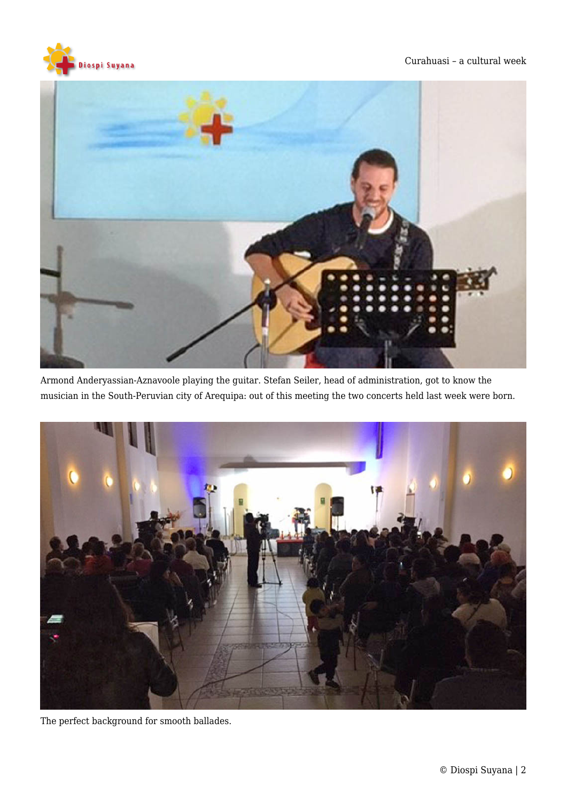



Armond Anderyassian-Aznavoole playing the guitar. Stefan Seiler, head of administration, got to know the musician in the South-Peruvian city of Arequipa: out of this meeting the two concerts held last week were born.



The perfect background for smooth ballades.